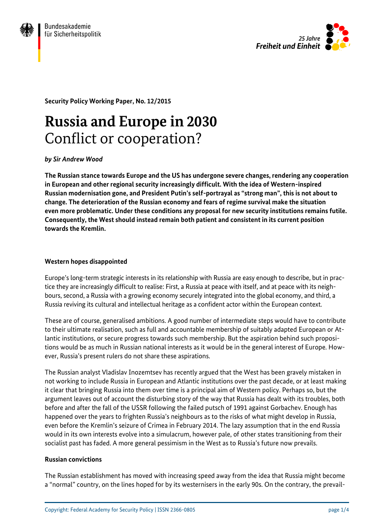



**Security Policy Working Paper, No. 12/2015**

# **Russia and Europe in 2030** Conflict or cooperation?

*by Sir Andrew Wood*

**The Russian stance towards Europe and the US has undergone severe changes, rendering any cooperation in European and other regional security increasingly difficult. With the idea of Western-inspired Russian modernisation gone, and President Putin's self-portrayal as "strong man", this is not about to change. The deterioration of the Russian economy and fears of regime survival make the situation even more problematic. Under these conditions any proposal for new security institutions remains futile. Consequently, the West should instead remain both patient and consistent in its current position towards the Kremlin.**

#### **Western hopes disappointed**

Europe's long-term strategic interests in its relationship with Russia are easy enough to describe, but in practice they are increasingly difficult to realise: First, a Russia at peace with itself, and at peace with its neighbours, second, a Russia with a growing economy securely integrated into the global economy, and third, a Russia reviving its cultural and intellectual heritage as a confident actor within the European context.

These are of course, generalised ambitions. A good number of intermediate steps would have to contribute to their ultimate realisation, such as full and accountable membership of suitably adapted European or Atlantic institutions, or secure progress towards such membership. But the aspiration behind such propositions would be as much in Russian national interests as it would be in the general interest of Europe. However, Russia's present rulers do not share these aspirations.

The Russian analyst Vladislav Inozemtsev has recently argued that the West has been gravely mistaken in not working to include Russia in European and Atlantic institutions over the past decade, or at least making it clear that bringing Russia into them over time is a principal aim of Western policy. Perhaps so, but the argument leaves out of account the disturbing story of the way that Russia has dealt with its troubles, both before and after the fall of the USSR following the failed putsch of 1991 against Gorbachev. Enough has happened over the years to frighten Russia's neighbours as to the risks of what might develop in Russia, even before the Kremlin's seizure of Crimea in February 2014. The lazy assumption that in the end Russia would in its own interests evolve into a simulacrum, however pale, of other states transitioning from their socialist past has faded. A more general pessimism in the West as to Russia's future now prevails.

#### **Russian convictions**

The Russian establishment has moved with increasing speed away from the idea that Russia might become a "normal" country, on the lines hoped for by its westernisers in the early 90s. On the contrary, the prevail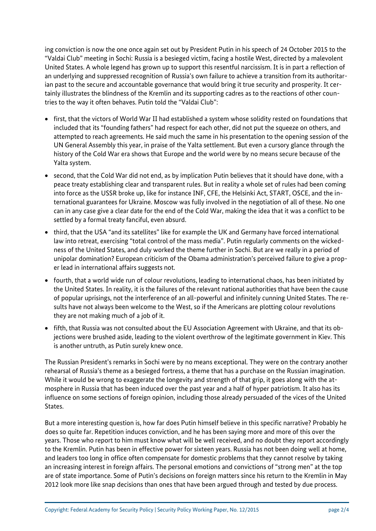ing conviction is now the one once again set out by President Putin in his speech of 24 October 2015 to the "Valdai Club" meeting in Sochi: Russia is a besieged victim, facing a hostile West, directed by a malevolent United States. A whole legend has grown up to support this resentful narcissism. It is in part a reflection of an underlying and suppressed recognition of Russia's own failure to achieve a transition from its authoritarian past to the secure and accountable governance that would bring it true security and prosperity. It certainly illustrates the blindness of the Kremlin and its supporting cadres as to the reactions of other countries to the way it often behaves. Putin told the "Valdai Club":

- first, that the victors of World War II had established a system whose solidity rested on foundations that included that its "founding fathers" had respect for each other, did not put the squeeze on others, and attempted to reach agreements. He said much the same in his presentation to the opening session of the UN General Assembly this year, in praise of the Yalta settlement. But even a cursory glance through the history of the Cold War era shows that Europe and the world were by no means secure because of the Yalta system.
- second, that the Cold War did not end, as by implication Putin believes that it should have done, with a peace treaty establishing clear and transparent rules. But in reality a whole set of rules had been coming into force as the USSR broke up, like for instance INF, CFE, the Helsinki Act, START, OSCE, and the international guarantees for Ukraine. Moscow was fully involved in the negotiation of all of these. No one can in any case give a clear date for the end of the Cold War, making the idea that it was a conflict to be settled by a formal treaty fanciful, even absurd.
- third, that the USA "and its satellites" like for example the UK and Germany have forced international law into retreat, exercising "total control of the mass media". Putin regularly comments on the wickedness of the United States, and duly worked the theme further in Sochi. But are we really in a period of unipolar domination? European criticism of the Obama administration's perceived failure to give a proper lead in international affairs suggests not.
- fourth, that a world wide run of colour revolutions, leading to international chaos, has been initiated by the United States. In reality, it is the failures of the relevant national authorities that have been the cause of popular uprisings, not the interference of an all-powerful and infinitely cunning United States. The results have not always been welcome to the West, so if the Americans are plotting colour revolutions they are not making much of a job of it.
- fifth, that Russia was not consulted about the EU Association Agreement with Ukraine, and that its objections were brushed aside, leading to the violent overthrow of the legitimate government in Kiev. This is another untruth, as Putin surely knew once.

The Russian President's remarks in Sochi were by no means exceptional. They were on the contrary another rehearsal of Russia's theme as a besieged fortress, a theme that has a purchase on the Russian imagination. While it would be wrong to exaggerate the longevity and strength of that grip, it goes along with the atmosphere in Russia that has been induced over the past year and a half of hyper patriotism. It also has its influence on some sections of foreign opinion, including those already persuaded of the vices of the United States.

But a more interesting question is, how far does Putin himself believe in this specific narrative? Probably he does so quite far. Repetition induces conviction, and he has been saying more and more of this over the years. Those who report to him must know what will be well received, and no doubt they report accordingly to the Kremlin. Putin has been in effective power for sixteen years. Russia has not been doing well at home, and leaders too long in office often compensate for domestic problems that they cannot resolve by taking an increasing interest in foreign affairs. The personal emotions and convictions of "strong men" at the top are of state importance. Some of Putin's decisions on foreign matters since his return to the Kremlin in May 2012 look more like snap decisions than ones that have been argued through and tested by due process.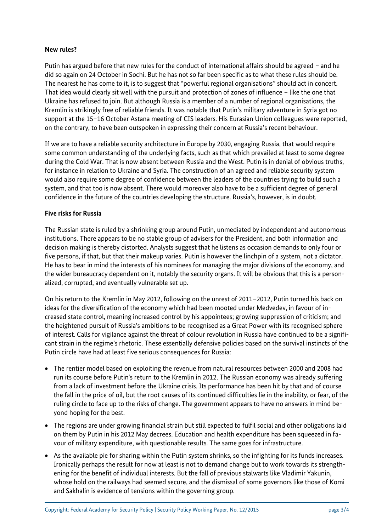## **New rules?**

Putin has argued before that new rules for the conduct of international affairs should be agreed – and he did so again on 24 October in Sochi. But he has not so far been specific as to what these rules should be. The nearest he has come to it, is to suggest that "powerful regional organisations" should act in concert. That idea would clearly sit well with the pursuit and protection of zones of influence – like the one that Ukraine has refused to join. But although Russia is a member of a number of regional organisations, the Kremlin is strikingly free of reliable friends. It was notable that Putin's military adventure in Syria got no support at the 15–16 October Astana meeting of CIS leaders. His Eurasian Union colleagues were reported, on the contrary, to have been outspoken in expressing their concern at Russia's recent behaviour.

If we are to have a reliable security architecture in Europe by 2030, engaging Russia, that would require some common understanding of the underlying facts, such as that which prevailed at least to some degree during the Cold War. That is now absent between Russia and the West. Putin is in denial of obvious truths, for instance in relation to Ukraine and Syria. The construction of an agreed and reliable security system would also require some degree of confidence between the leaders of the countries trying to build such a system, and that too is now absent. There would moreover also have to be a sufficient degree of general confidence in the future of the countries developing the structure. Russia's, however, is in doubt.

### **Five risks for Russia**

The Russian state is ruled by a shrinking group around Putin, unmediated by independent and autonomous institutions. There appears to be no stable group of advisers for the President, and both information and decision making is thereby distorted. Analysts suggest that he listens as occasion demands to only four or five persons, if that, but that their makeup varies. Putin is however the linchpin of a system, not a dictator. He has to bear in mind the interests of his nominees for managing the major divisions of the economy, and the wider bureaucracy dependent on it, notably the security organs. It will be obvious that this is a personalized, corrupted, and eventually vulnerable set up.

On his return to the Kremlin in May 2012, following on the unrest of 2011–2012, Putin turned his back on ideas for the diversification of the economy which had been mooted under Medvedev, in favour of increased state control, meaning increased control by his appointees; growing suppression of criticism; and the heightened pursuit of Russia's ambitions to be recognised as a Great Power with its recognised sphere of interest. Calls for vigilance against the threat of colour revolution in Russia have continued to be a significant strain in the regime's rhetoric. These essentially defensive policies based on the survival instincts of the Putin circle have had at least five serious consequences for Russia:

- The rentier model based on exploiting the revenue from natural resources between 2000 and 2008 had run its course before Putin's return to the Kremlin in 2012. The Russian economy was already suffering from a lack of investment before the Ukraine crisis. Its performance has been hit by that and of course the fall in the price of oil, but the root causes of its continued difficulties lie in the inability, or fear, of the ruling circle to face up to the risks of change. The government appears to have no answers in mind beyond hoping for the best.
- The regions are under growing financial strain but still expected to fulfil social and other obligations laid on them by Putin in his 2012 May decrees. Education and health expenditure has been squeezed in favour of military expenditure, with questionable results. The same goes for infrastructure.
- As the available pie for sharing within the Putin system shrinks, so the infighting for its funds increases. Ironically perhaps the result for now at least is not to demand change but to work towards its strengthening for the benefit of individual interests. But the fall of previous stalwarts like Vladimir Yakunin, whose hold on the railways had seemed secure, and the dismissal of some governors like those of Komi and Sakhalin is evidence of tensions within the governing group.